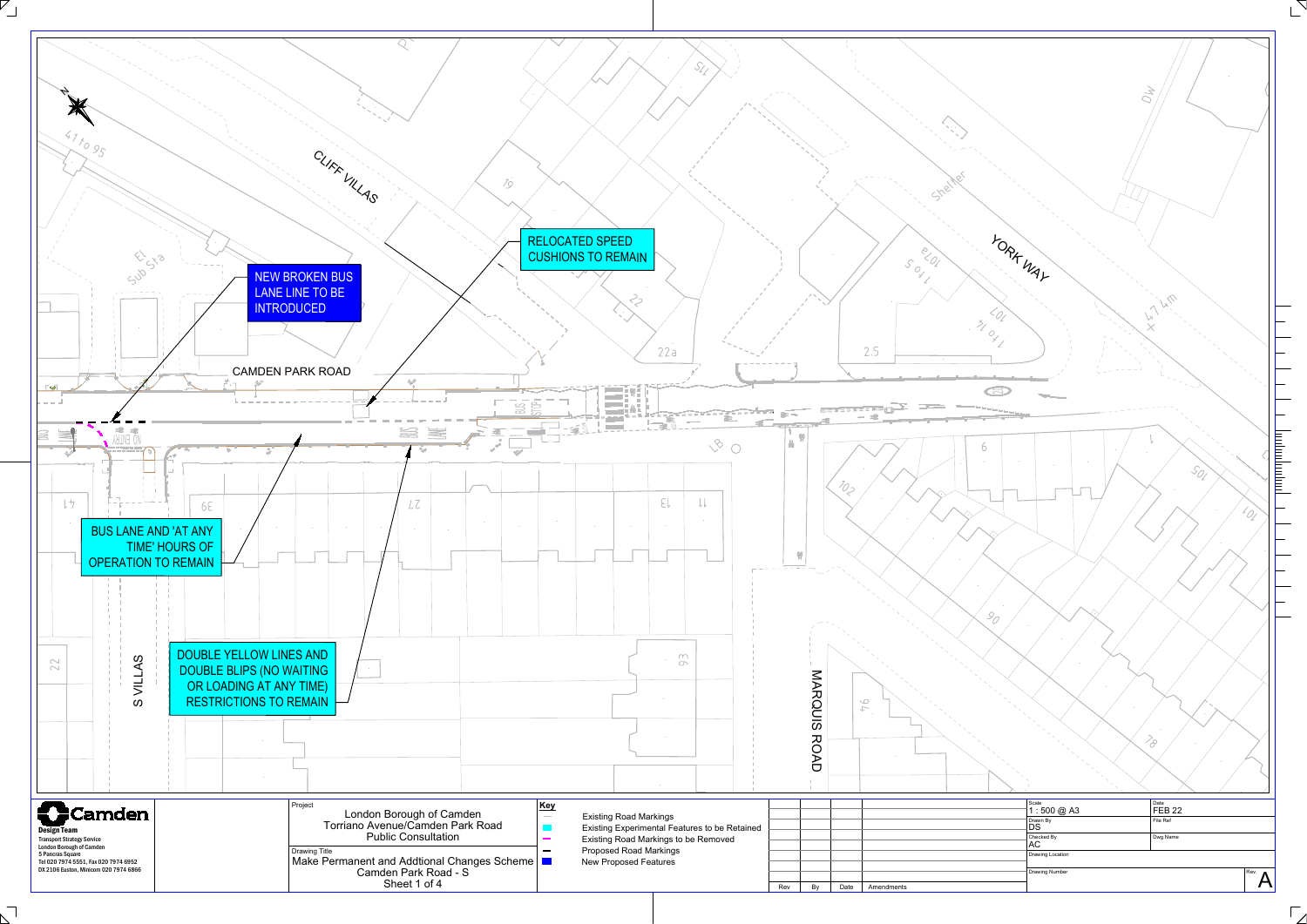| Drawing Number   |          | Rev. |
|------------------|----------|------|
| Drawing Location |          |      |
| Checked By<br>АC | Dwg Name |      |
| Drawn By<br>DS   | File Ref |      |

 $\overline{\phantom{0}}$ 



 $\overline{Y}_{\perp}$ 

 $\overline{\phantom{0}}$ 

|                             | Scale<br>1 : 500 @ A3<br>Drawn By<br>DS | File Ref                                     |                    |
|-----------------------------|-----------------------------------------|----------------------------------------------|--------------------|
|                             |                                         | $\overline{\text{Date}}$<br>FEB 22           |                    |
|                             |                                         |                                              |                    |
|                             |                                         |                                              |                    |
|                             |                                         |                                              |                    |
|                             |                                         | $\gtrsim$                                    |                    |
|                             |                                         |                                              |                    |
|                             |                                         |                                              |                    |
|                             |                                         |                                              |                    |
|                             |                                         |                                              |                    |
|                             |                                         |                                              |                    |
| $\mathcal{S}_{\mathcal{O}}$ |                                         |                                              |                    |
|                             |                                         |                                              |                    |
|                             |                                         |                                              |                    |
|                             |                                         |                                              |                    |
|                             |                                         |                                              |                    |
|                             |                                         | $\mathcal{L}_{\mathcal{O}_{\cancel{\!\!L}}}$ |                    |
|                             |                                         |                                              |                    |
|                             |                                         | $S_{O_Z}$                                    |                    |
|                             |                                         |                                              | <u>milimhuitin</u> |
|                             |                                         | $\downarrow$                                 |                    |
|                             |                                         |                                              |                    |
| $\circledS$                 |                                         |                                              |                    |
|                             |                                         |                                              |                    |
|                             |                                         |                                              |                    |
| LOL V                       |                                         |                                              |                    |
|                             |                                         | VX)<br>$X \nleq \lambda$                     |                    |
|                             |                                         |                                              |                    |
|                             |                                         |                                              |                    |
| <b>YORK WAY</b>             |                                         |                                              |                    |
|                             |                                         |                                              |                    |
|                             |                                         |                                              |                    |
|                             |                                         |                                              |                    |
|                             |                                         |                                              |                    |
|                             |                                         |                                              |                    |
|                             |                                         |                                              |                    |
|                             |                                         | MO                                           |                    |
|                             |                                         |                                              |                    |
|                             |                                         |                                              |                    |
|                             |                                         |                                              |                    |
|                             |                                         |                                              |                    |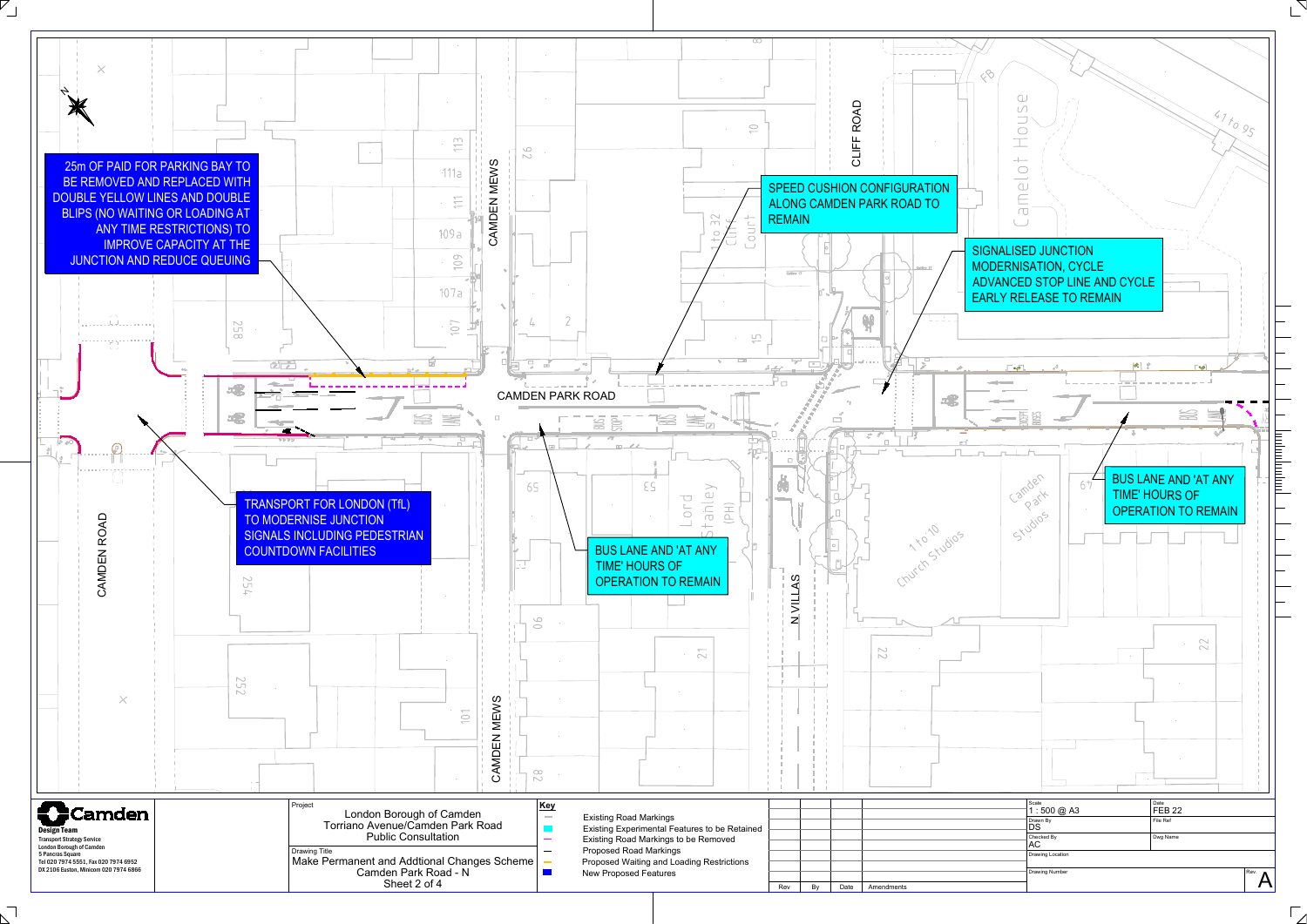

 $\sqrt{ }$ 

 $\nabla_{\bot}$ 

 $\Gamma$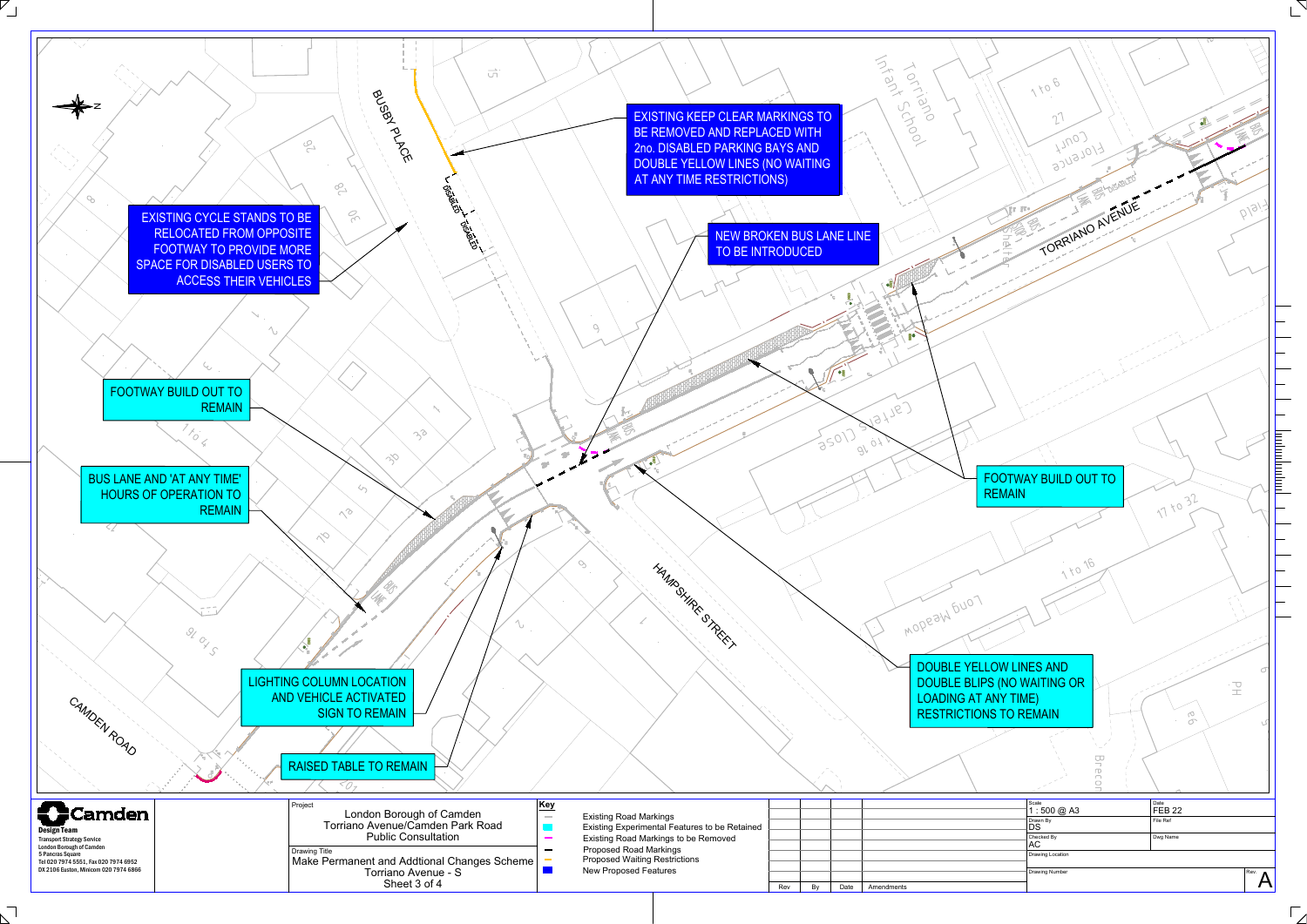

 $\overline{\phantom{a}}$